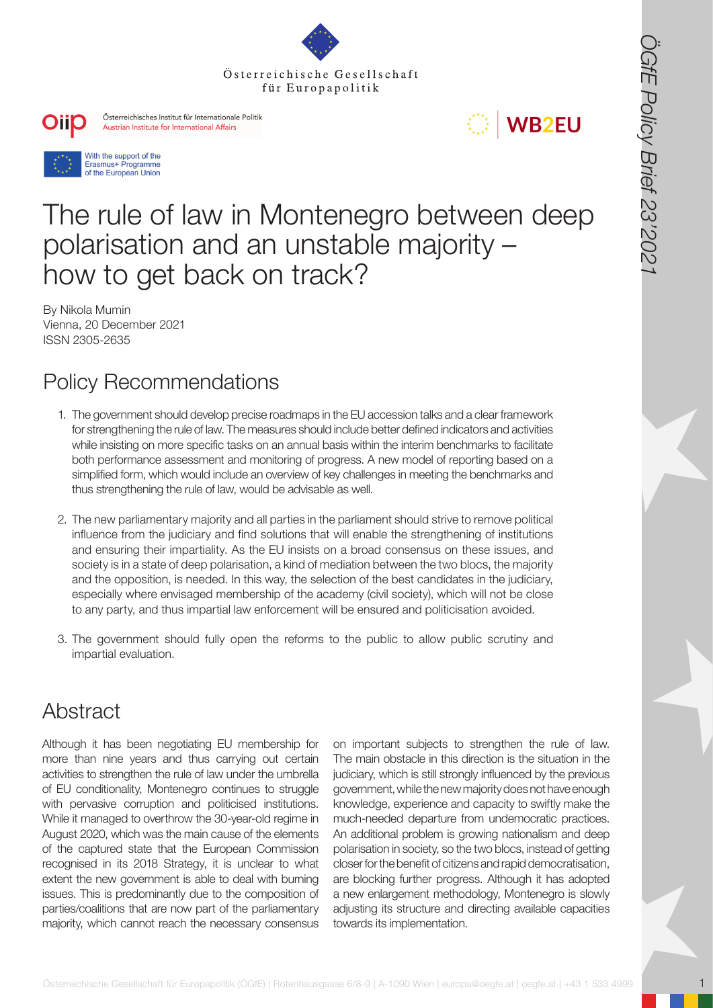







# The rule of law in Montenegro between deep polarisation and an unstable majority – how to get back on track?

By Nikola Mumin Vienna, 20 December 2021 ISSN 2305-2635

# Policy Recommendations

- 1. The government should develop precise roadmaps in the EU accession talks and a clear framework for strengthening the rule of law. The measures should include better defined indicators and activities while insisting on more specific tasks on an annual basis within the interim benchmarks to facilitate both performance assessment and monitoring of progress. A new model of reporting based on a simplified form, which would include an overview of key challenges in meeting the benchmarks and thus strengthening the rule of law, would be advisable as well.
- 2. The new parliamentary majority and all parties in the parliament should strive to remove political influence from the judiciary and find solutions that will enable the strengthening of institutions and ensuring their impartiality. As the EU insists on a broad consensus on these issues, and society is in a state of deep polarisation, a kind of mediation between the two blocs, the majority and the opposition, is needed. In this way, the selection of the best candidates in the judiciary, especially where envisaged membership of the academy (civil society), which will not be close to any party, and thus impartial law enforcement will be ensured and politicisation avoided.
- 3. The government should fully open the reforms to the public to allow public scrutiny and impartial evaluation.

# Abstract

**OSTERREIGHT CONTROLLER CONTROLLER CONTROLLER CONTROLLER CONTROLLER CONTROLLER CONTROLLER CONTROLLER CONTROLLER CONTROLLER CONTROLLER CONTROLLER CONTROLLER CONTROLLER CONTROLLER CONTROLLER CONTROLLER CONTROLLER CONTROLLER** Although it has been negotiating EU membership for more than nine years and thus carrying out certain activities to strengthen the rule of law under the umbrella of EU conditionality, Montenegro continues to struggle with pervasive corruption and politicised institutions. While it managed to overthrow the 30-year-old regime in August 2020, which was the main cause of the elements of the captured state that the European Commission recognised in its 2018 Strategy, it is unclear to what extent the new government is able to deal with burning issues. This is predominantly due to the composition of parties/coalitions that are now part of the parliamentary majority, which cannot reach the necessary consensus

on important subjects to strengthen the rule of law. The main obstacle in this direction is the situation in the judiciary, which is still strongly influenced by the previous government, while the new majority does not have enough knowledge, experience and capacity to swiftly make the much-needed departure from undemocratic practices. An additional problem is growing nationalism and deep polarisation in society, so the two blocs, instead of getting closer for the benefit of citizens and rapid democratisation, are blocking further progress. Although it has adopted a new enlargement methodology, Montenegro is slowly adjusting its structure and directing available capacities towards its implementation.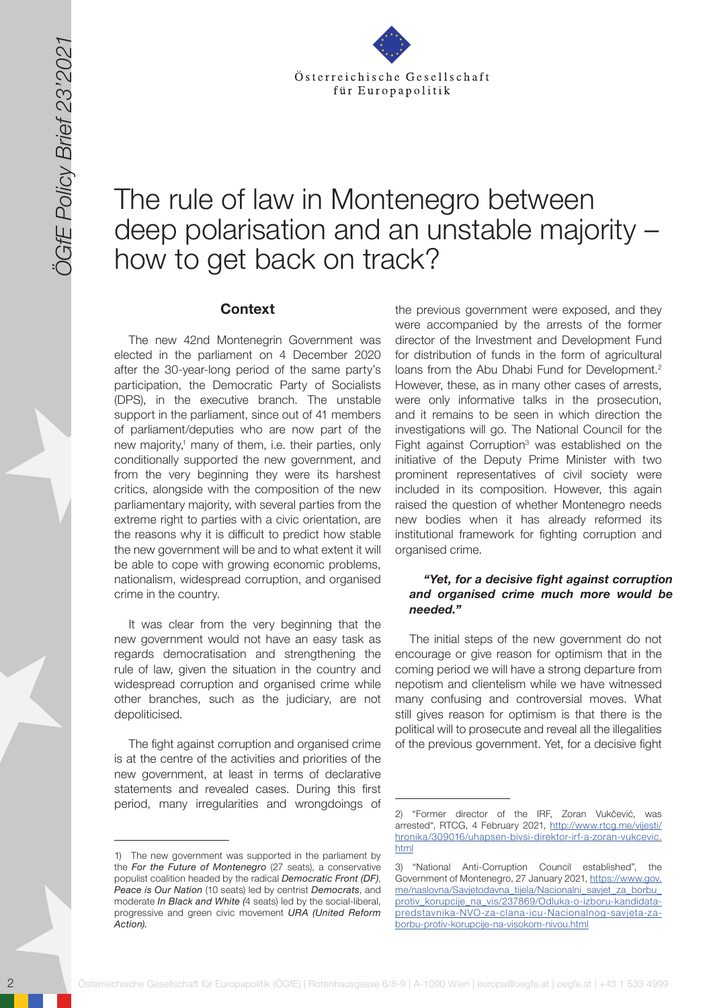

# The rule of law in Montenegro between deep polarisation and an unstable majority – how to get back on track?

### **Context**

<sup>22</sup> <sup>One</sup> Chief Coleman Control on the Coleman Control on the Coleman Control of Coleman Control of Coleman Control of Coleman Control of Coleman Control of Coleman Control of Coleman Control of Coleman Control of Coleman The new 42nd Montenegrin Government was elected in the parliament on 4 December 2020 after the 30-year-long period of the same party's participation, the Democratic Party of Socialists (DPS), in the executive branch. The unstable support in the parliament, since out of 41 members of parliament/deputies who are now part of the new majority,<sup>1</sup> many of them, i.e. their parties, only conditionally supported the new government, and from the very beginning they were its harshest critics, alongside with the composition of the new parliamentary majority, with several parties from the extreme right to parties with a civic orientation, are the reasons why it is difficult to predict how stable the new government will be and to what extent it will be able to cope with growing economic problems, nationalism, widespread corruption, and organised crime in the country.

It was clear from the very beginning that the new government would not have an easy task as regards democratisation and strengthening the rule of law, given the situation in the country and widespread corruption and organised crime while other branches, such as the judiciary, are not depoliticised.

The fight against corruption and organised crime is at the centre of the activities and priorities of the new government, at least in terms of declarative statements and revealed cases. During this first period, many irregularities and wrongdoings of the previous government were exposed, and they were accompanied by the arrests of the former director of the Investment and Development Fund for distribution of funds in the form of agricultural loans from the Abu Dhabi Fund for Development.<sup>2</sup> However, these, as in many other cases of arrests, were only informative talks in the prosecution, and it remains to be seen in which direction the investigations will go. The National Council for the Fight against Corruption<sup>3</sup> was established on the initiative of the Deputy Prime Minister with two prominent representatives of civil society were included in its composition. However, this again raised the question of whether Montenegro needs new bodies when it has already reformed its institutional framework for fighting corruption and organised crime.

## *"Yet, for a decisive fight against corruption and organised crime much more would be needed."*

The initial steps of the new government do not encourage or give reason for optimism that in the coming period we will have a strong departure from nepotism and clientelism while we have witnessed many confusing and controversial moves. What still gives reason for optimism is that there is the political will to prosecute and reveal all the illegalities of the previous government. Yet, for a decisive fight

<sup>1)</sup> The new government was supported in the parliament by the *For the Future of Montenegro* (27 seats), a conservative populist coalition headed by the radical *Democratic Front (DF)*, *Peace is Our Nation* (10 seats) led by centrist *Democrats*, and moderate *In Black and White (*4 seats) led by the social-liberal, progressive and green civic movement *URA (United Reform Action).*

<sup>2)</sup> "Former director of the IRF, Zoran Vukčević, was arrested", RTCG, 4 February 2021, [http://www.rtcg.me/vijesti/](http://www.rtcg.me/vijesti/hronika/309016/uhapsen-bivsi-direktor-irf-a-zoran-vukcevic.html) [hronika/309016/uhapsen-bivsi-direktor-irf-a-zoran-vukcevic.](http://www.rtcg.me/vijesti/hronika/309016/uhapsen-bivsi-direktor-irf-a-zoran-vukcevic.html) [html](http://www.rtcg.me/vijesti/hronika/309016/uhapsen-bivsi-direktor-irf-a-zoran-vukcevic.html)

<sup>3)</sup> "National Anti-Corruption Council established", the Government of Montenegro, 27 January 2021, [https://www.gov.](https://www.gov.me/naslovna/Savjetodavna_tijela/Nacionalni_savjet_za_borbu_protiv_korupcije_na_vis/2) [me/naslovna/Savjetodavna\\_tijela/Nacionalni\\_savjet\\_za\\_borbu\\_](https://www.gov.me/naslovna/Savjetodavna_tijela/Nacionalni_savjet_za_borbu_protiv_korupcije_na_vis/2) [protiv\\_korupcije\\_na\\_vis/237869/Odluka-o-izboru-kandidata](https://www.gov.me/naslovna/Savjetodavna_tijela/Nacionalni_savjet_za_borbu_protiv_korupcije_na_vis/2)[predstavnika-NVO-za-clana-icu-Nacionalnog-savjeta-za](https://www.gov.me/naslovna/Savjetodavna_tijela/Nacionalni_savjet_za_borbu_protiv_korupcije_na_vis/2)[borbu-protiv-korupcije-na-visokom-nivou.html](https://www.gov.me/naslovna/Savjetodavna_tijela/Nacionalni_savjet_za_borbu_protiv_korupcije_na_vis/2)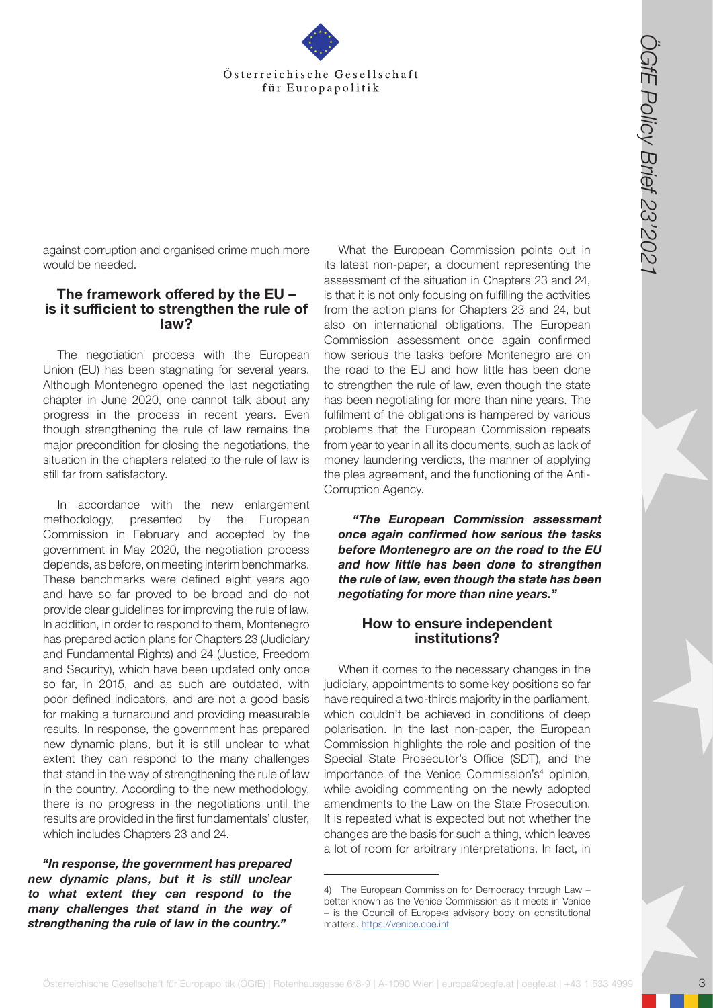

against corruption and organised crime much more would be needed.

# **The framework offered by the EU – is it sufficient to strengthen the rule of law?**

The negotiation process with the European Union (EU) has been stagnating for several years. Although Montenegro opened the last negotiating chapter in June 2020, one cannot talk about any progress in the process in recent years. Even though strengthening the rule of law remains the major precondition for closing the negotiations, the situation in the chapters related to the rule of law is still far from satisfactory.

**Osterreichische Gesellschaft für Europapolitik (Control of the main steps)** (Control of the main steps)<br>
Space control of the main steps of the main step in the main step is control of the main step in the main step is t In accordance with the new enlargement methodology, presented by the European Commission in February and accepted by the government in May 2020, the negotiation process depends, as before, on meeting interim benchmarks. These benchmarks were defined eight years ago and have so far proved to be broad and do not provide clear guidelines for improving the rule of law. In addition, in order to respond to them, Montenegro has prepared action plans for Chapters 23 (Judiciary and Fundamental Rights) and 24 (Justice, Freedom and Security), which have been updated only once so far, in 2015, and as such are outdated, with poor defined indicators, and are not a good basis for making a turnaround and providing measurable results. In response, the government has prepared new dynamic plans, but it is still unclear to what extent they can respond to the many challenges that stand in the way of strengthening the rule of law in the country. According to the new methodology, there is no progress in the negotiations until the results are provided in the first fundamentals' cluster, which includes Chapters 23 and 24.

*"In response, the government has prepared new dynamic plans, but it is still unclear to what extent they can respond to the many challenges that stand in the way of strengthening the rule of law in the country."*

What the European Commission points out in its latest non-paper, a document representing the assessment of the situation in Chapters 23 and 24, is that it is not only focusing on fulfilling the activities from the action plans for Chapters 23 and 24, but also on international obligations. The European Commission assessment once again confirmed how serious the tasks before Montenegro are on the road to the EU and how little has been done to strengthen the rule of law, even though the state has been negotiating for more than nine years. The fulfilment of the obligations is hampered by various problems that the European Commission repeats from year to year in all its documents, such as lack of money laundering verdicts, the manner of applying the plea agreement, and the functioning of the Anti-Corruption Agency.

*"The European Commission assessment once again confirmed how serious the tasks before Montenegro are on the road to the EU and how little has been done to strengthen the rule of law, even though the state has been negotiating for more than nine years."*

# **How to ensure independent institutions?**

When it comes to the necessary changes in the judiciary, appointments to some key positions so far have required a two-thirds majority in the parliament, which couldn't be achieved in conditions of deep polarisation. In the last non-paper, the European Commission highlights the role and position of the Special State Prosecutor's Office (SDT), and the importance of the Venice Commission's<sup>4</sup> opinion, while avoiding commenting on the newly adopted amendments to the Law on the State Prosecution. It is repeated what is expected but not whether the changes are the basis for such a thing, which leaves a lot of room for arbitrary interpretations. In fact, in

<sup>4)</sup> The European Commission for Democracy through Law – better known as the Venice Commission as it meets in Venice – is the Council of Europe‹s advisory body on constitutional matters. <https://venice.coe.int>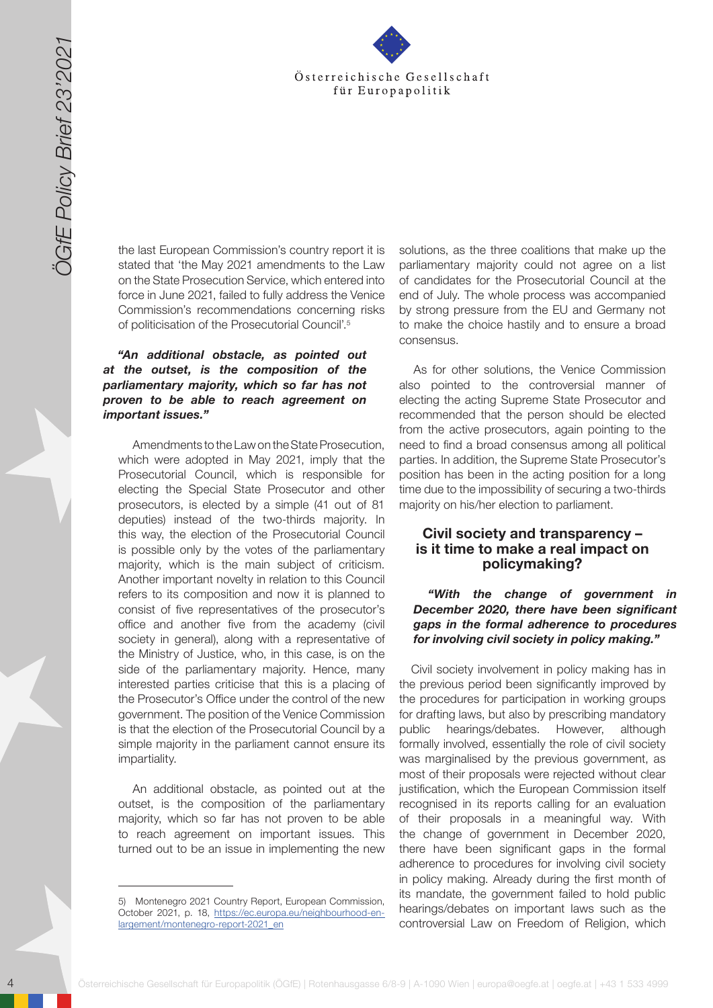

the last European Commission's country report it is stated that 'the May 2021 amendments to the Law on the State Prosecution Service, which entered into force in June 2021, failed to fully address the Venice Commission's recommendations concerning risks of politicisation of the Prosecutorial Council'.<sup>5</sup>

## *"An additional obstacle, as pointed out at the outset, is the composition of the parliamentary majority, which so far has not proven to be able to reach agreement on important issues."*

4 Osterreichische Gesellschaft für Europapolitik (ÖGfe) | Rotenhausgasse 6/8-9 | A-1090 Wien | A-1090 Wien | Rotenhausgasse 6/8-9 | A-1090 Wien | A-1090 Wien | A-1090 Wien | A-1090 Wien | A-1090 Wien | A-1090 Wien | A-10 Amendments to the Law on the State Prosecution, which were adopted in May 2021, imply that the Prosecutorial Council, which is responsible for electing the Special State Prosecutor and other prosecutors, is elected by a simple (41 out of 81 deputies) instead of the two-thirds majority. In this way, the election of the Prosecutorial Council is possible only by the votes of the parliamentary majority, which is the main subject of criticism. Another important novelty in relation to this Council refers to its composition and now it is planned to consist of five representatives of the prosecutor's office and another five from the academy (civil society in general), along with a representative of the Ministry of Justice, who, in this case, is on the side of the parliamentary majority. Hence, many interested parties criticise that this is a placing of the Prosecutor's Office under the control of the new government. The position of the Venice Commission is that the election of the Prosecutorial Council by a simple majority in the parliament cannot ensure its impartiality.

An additional obstacle, as pointed out at the outset, is the composition of the parliamentary majority, which so far has not proven to be able to reach agreement on important issues. This turned out to be an issue in implementing the new

solutions, as the three coalitions that make up the parliamentary majority could not agree on a list of candidates for the Prosecutorial Council at the end of July. The whole process was accompanied by strong pressure from the EU and Germany not to make the choice hastily and to ensure a broad consensus.

As for other solutions, the Venice Commission also pointed to the controversial manner of electing the acting Supreme State Prosecutor and recommended that the person should be elected from the active prosecutors, again pointing to the need to find a broad consensus among all political parties. In addition, the Supreme State Prosecutor's position has been in the acting position for a long time due to the impossibility of securing a two-thirds majority on his/her election to parliament.

# **Civil society and transparency – is it time to make a real impact on policymaking?**

## *"With the change of government in December 2020, there have been significant gaps in the formal adherence to procedures for involving civil society in policy making."*

Civil society involvement in policy making has in the previous period been significantly improved by the procedures for participation in working groups for drafting laws, but also by prescribing mandatory public hearings/debates. However, although formally involved, essentially the role of civil society was marginalised by the previous government, as most of their proposals were rejected without clear justification, which the European Commission itself recognised in its reports calling for an evaluation of their proposals in a meaningful way. With the change of government in December 2020, there have been significant gaps in the formal adherence to procedures for involving civil society in policy making. Already during the first month of its mandate, the government failed to hold public hearings/debates on important laws such as the controversial Law on Freedom of Religion, which

<sup>5)</sup> Montenegro 2021 Country Report, European Commission, October 2021, p. 18, [https://ec.europa.eu/neighbourhood-en](https://ec.europa.eu/neighbourhood-enlargement/montenegro-report-2021_en)[largement/montenegro-report-2021\\_en](https://ec.europa.eu/neighbourhood-enlargement/montenegro-report-2021_en)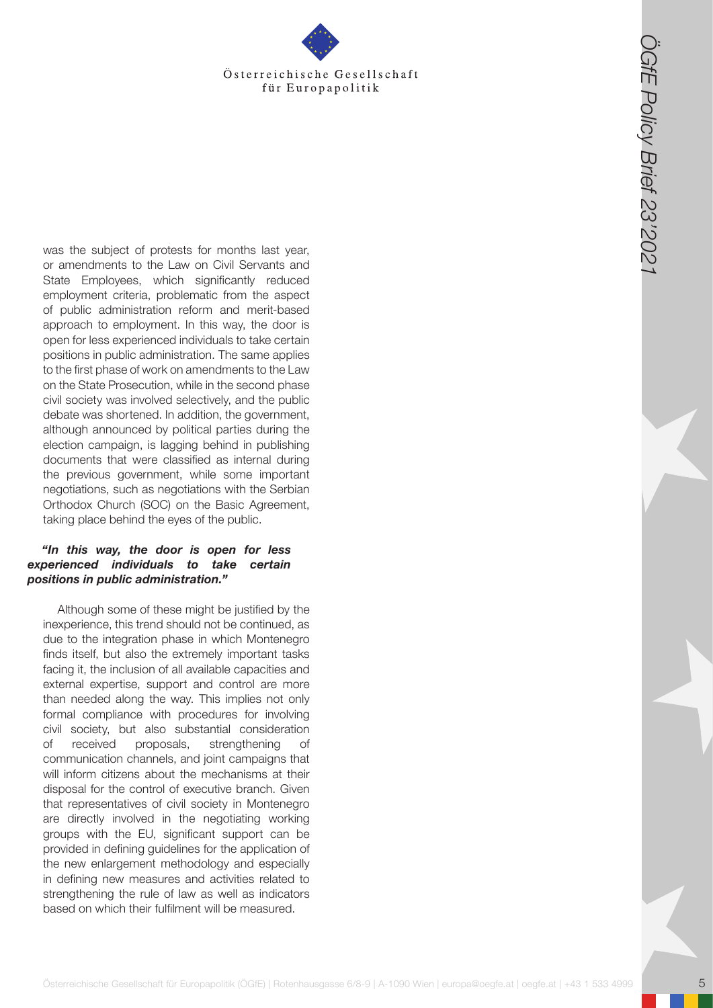Österreichische Gesellschaft für Europapolitik

was the subject of protests for months last year, or amendments to the Law on Civil Servants and State Employees, which significantly reduced employment criteria, problematic from the aspect of public administration reform and merit-based approach to employment. In this way, the door is open for less experienced individuals to take certain positions in public administration. The same applies to the first phase of work on amendments to the Law on the State Prosecution, while in the second phase civil society was involved selectively, and the public debate was shortened. In addition, the government, although announced by political parties during the election campaign, is lagging behind in publishing documents that were classified as internal during the previous government, while some important negotiations, such as negotiations with the Serbian Orthodox Church (SOC) on the Basic Agreement, taking place behind the eyes of the public.

## *"In this way, the door is open for less experienced individuals to take certain positions in public administration."*

Although some of these might be justified by the inexperience, this trend should not be continued, as due to the integration phase in which Montenegro finds itself, but also the extremely important tasks facing it, the inclusion of all available capacities and external expertise, support and control are more than needed along the way. This implies not only formal compliance with procedures for involving civil society, but also substantial consideration of received proposals, strengthening of communication channels, and joint campaigns that will inform citizens about the mechanisms at their disposal for the control of executive branch. Given that representatives of civil society in Montenegro are directly involved in the negotiating working groups with the EU, significant support can be provided in defining guidelines for the application of the new enlargement methodology and especially in defining new measures and activities related to strengthening the rule of law as well as indicators based on which their fulfilment will be measured.